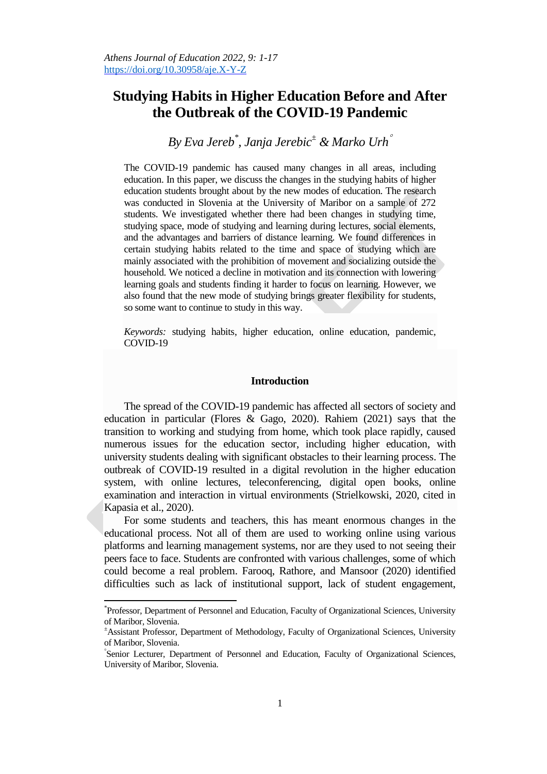# **Studying Habits in Higher Education Before and After the Outbreak of the COVID-19 Pandemic**

*By Eva Jereb\* , Janja Jerebic<sup>±</sup> & Marko Urh*

The COVID-19 pandemic has caused many changes in all areas, including education. In this paper, we discuss the changes in the studying habits of higher education students brought about by the new modes of education. The research was conducted in Slovenia at the University of Maribor on a sample of 272 students. We investigated whether there had been changes in studying time, studying space, mode of studying and learning during lectures, social elements, and the advantages and barriers of distance learning. We found differences in certain studying habits related to the time and space of studying which are mainly associated with the prohibition of movement and socializing outside the household. We noticed a decline in motivation and its connection with lowering learning goals and students finding it harder to focus on learning. However, we also found that the new mode of studying brings greater flexibility for students, so some want to continue to study in this way.

*Keywords:* studying habits, higher education, online education, pandemic, COVID-19

### **Introduction**

The spread of the COVID-19 pandemic has affected all sectors of society and education in particular (Flores & Gago, 2020). Rahiem (2021) says that the transition to working and studying from home, which took place rapidly, caused numerous issues for the education sector, including higher education, with university students dealing with significant obstacles to their learning process. The outbreak of COVID-19 resulted in a digital revolution in the higher education system, with online lectures, teleconferencing, digital open books, online examination and interaction in virtual environments (Strielkowski, 2020, cited in Kapasia et al., 2020).

For some students and teachers, this has meant enormous changes in the educational process. Not all of them are used to working online using various platforms and learning management systems, nor are they used to not seeing their peers face to face. Students are confronted with various challenges, some of which could become a real problem. Farooq, Rathore, and Mansoor (2020) identified difficulties such as lack of institutional support, lack of student engagement,

 $\overline{\phantom{a}}$ 

<sup>\*</sup> Professor, Department of Personnel and Education, Faculty of Organizational Sciences, University of Maribor, Slovenia.

<sup>±</sup>Assistant Professor, Department of Methodology, Faculty of Organizational Sciences, University of Maribor, Slovenia.

Senior Lecturer, Department of Personnel and Education, Faculty of Organizational Sciences, University of Maribor, Slovenia.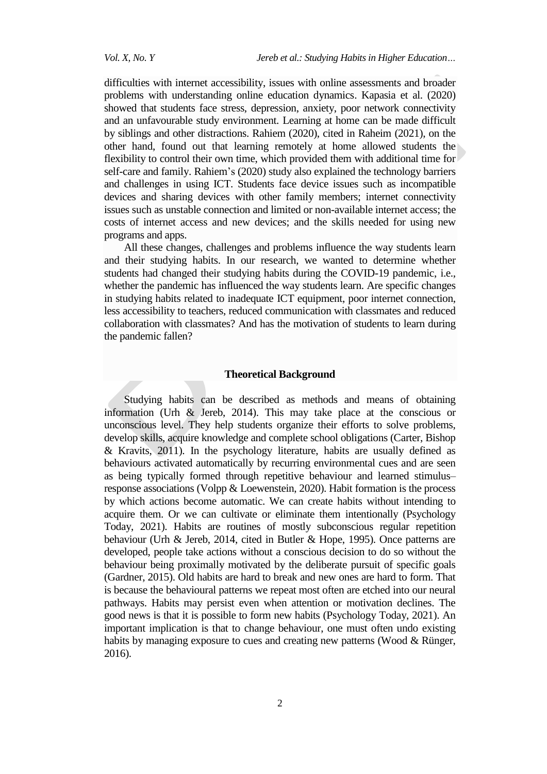difficulties with internet accessibility, issues with online assessments and broader problems with understanding online education dynamics. Kapasia et al. (2020) showed that students face stress, depression, anxiety, poor network connectivity and an unfavourable study environment. Learning at home can be made difficult by siblings and other distractions. Rahiem (2020), cited in Raheim (2021), on the other hand, found out that learning remotely at home allowed students the flexibility to control their own time, which provided them with additional time for self-care and family. Rahiem's (2020) study also explained the technology barriers and challenges in using ICT. Students face device issues such as incompatible devices and sharing devices with other family members; internet connectivity issues such as unstable connection and limited or non-available internet access; the costs of internet access and new devices; and the skills needed for using new programs and apps.

All these changes, challenges and problems influence the way students learn and their studying habits. In our research, we wanted to determine whether students had changed their studying habits during the COVID-19 pandemic, i.e., whether the pandemic has influenced the way students learn. Are specific changes in studying habits related to inadequate ICT equipment, poor internet connection, less accessibility to teachers, reduced communication with classmates and reduced collaboration with classmates? And has the motivation of students to learn during the pandemic fallen?

#### **Theoretical Background**

Studying habits can be described as methods and means of obtaining information (Urh & Jereb, 2014). This may take place at the conscious or unconscious level. They help students organize their efforts to solve problems, develop skills, acquire knowledge and complete school obligations (Carter, Bishop & Kravits, 2011). In the psychology literature, habits are usually defined as behaviours activated automatically by recurring environmental cues and are seen as being typically formed through repetitive behaviour and learned stimulus– response associations (Volpp & Loewenstein, 2020). Habit formation is the process by which actions become automatic. We can create habits without intending to acquire them. Or we can cultivate or eliminate them intentionally (Psychology Today, 2021). Habits are routines of mostly subconscious regular repetition behaviour (Urh & Jereb, 2014, cited in Butler & Hope, 1995). Once patterns are developed, people take actions without a conscious decision to do so without the behaviour being proximally motivated by the deliberate pursuit of specific goals (Gardner, 2015). Old habits are hard to break and new ones are hard to form. That is because the behavioural patterns we repeat most often are etched into our neural pathways. Habits may persist even when attention or motivation declines. The good news is that it is possible to form new habits (Psychology Today, 2021). An important implication is that to change behaviour, one must often undo existing habits by managing exposure to cues and creating new patterns (Wood & Rünger, 2016).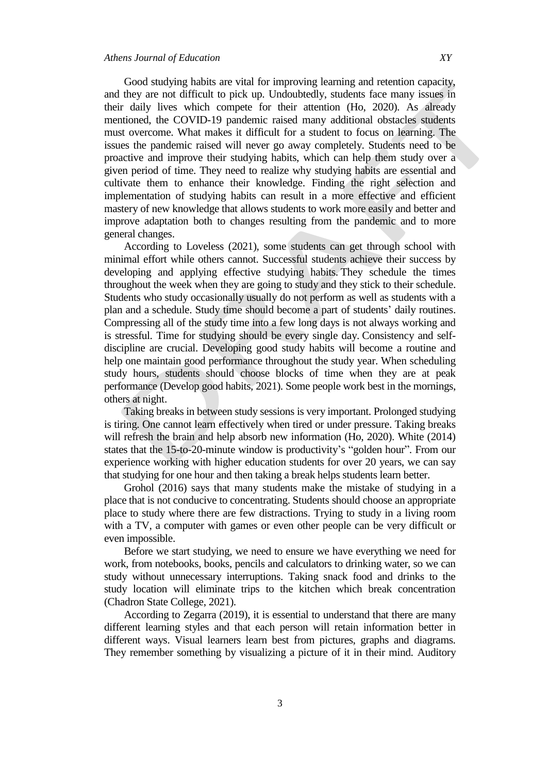Good studying habits are vital for improving learning and retention capacity, and they are not difficult to pick up. Undoubtedly, students face many issues in their daily lives which compete for their attention (Ho, 2020). As already mentioned, the COVID-19 pandemic raised many additional obstacles students must overcome. What makes it difficult for a student to focus on learning. The issues the pandemic raised will never go away completely. Students need to be proactive and improve their studying habits, which can help them study over a given period of time. They need to realize why studying habits are essential and cultivate them to enhance their knowledge. Finding the right selection and implementation of studying habits can result in a more effective and efficient mastery of new knowledge that allows students to work more easily and better and improve adaptation both to changes resulting from the pandemic and to more general changes.

According to Loveless (2021), some students can get through school with minimal effort while others cannot. Successful students achieve their success by developing and applying effective studying habits. They schedule the times throughout the week when they are going to study and they stick to their schedule. Students who study occasionally usually do not perform as well as students with a plan and a schedule. Study time should become a part of students' daily routines. Compressing all of the study time into a few long days is not always working and is stressful*.* Time for studying should be every single day. Consistency and selfdiscipline are crucial. Developing good study habits will become a routine and help one maintain good performance throughout the study year. When scheduling study hours, students should choose blocks of time when they are at peak performance (Develop good habits, 2021). Some people work best in the mornings, others at night.

Taking breaks in between study sessions is very important. Prolonged studying is tiring. One cannot learn effectively when tired or under pressure. Taking breaks will refresh the brain and help absorb new information (Ho, 2020). White (2014) states that the 15-to-20-minute window is productivity's "golden hour". From our experience working with higher education students for over 20 years, we can say that studying for one hour and then taking a break helps students learn better.

Grohol (2016) says that many students make the mistake of studying in a place that is not conducive to concentrating. Students should choose an appropriate place to study where there are few distractions. Trying to study in a living room with a TV, a computer with games or even other people can be very difficult or even impossible.

Before we start studying, we need to ensure we have everything we need for work, from notebooks, books, pencils and calculators to drinking water, so we can study without unnecessary interruptions. Taking snack food and drinks to the study location will eliminate trips to the kitchen which break concentration [\(Chadron State College,](https://www.csc.edu/visitors/) 2021).

According to Zegarra (2019), it is essential to understand that there are many different learning styles and that each person will retain information better in different ways. Visual learners learn best from pictures, graphs and diagrams. They remember something by visualizing a picture of it in their mind. Auditory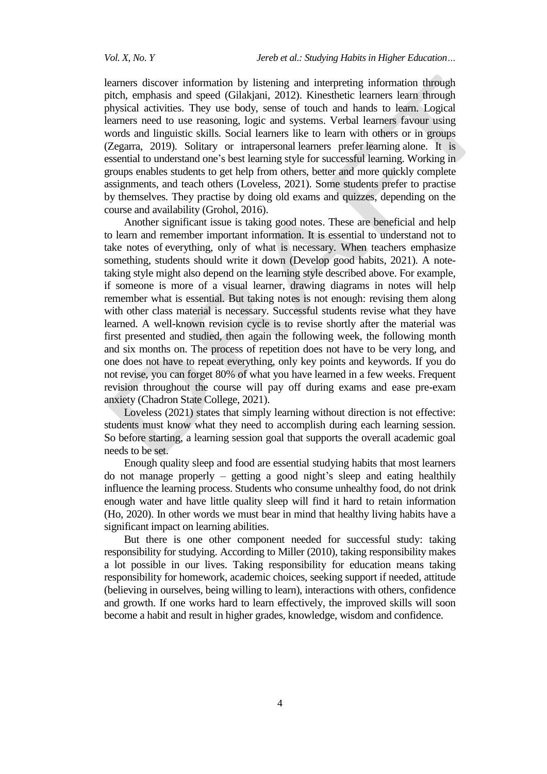learners discover information by listening and interpreting information through pitch, emphasis and speed (Gilakjani, 2012). Kinesthetic learners learn through physical activities. They use body, sense of touch and hands to learn. Logical learners need to use reasoning, logic and systems. Verbal learners favour using words and linguistic skills. Social learners like to learn with others or in groups (Zegarra, 2019). Solitary or intrapersonal learners prefer learning alone. It is essential to understand one's best learning style for successful learning. Working in groups enables students to get help from others, better and more quickly complete assignments, and teach others (Loveless, 2021). Some students prefer to practise by themselves. They practise by doing old exams and quizzes, depending on the course and availability (Grohol, 2016).

Another significant issue is taking good notes. These are beneficial and help to learn and remember important information. It is essential to understand not to take notes of everything, only of what is necessary. When teachers emphasize something, students should write it down (Develop good habits, 2021). A notetaking style might also depend on the learning style described above. For example, if someone is more of a visual learner, drawing diagrams in notes will help remember what is essential. But taking notes is not enough: revising them along with other class material is necessary. Successful students revise what they have learned. A well-known revision cycle is to revise shortly after the material was first presented and studied, then again the following week, the following month and six months on. The process of repetition does not have to be very long, and one does not have to repeat everything, only key points and keywords. If you do not revise, you can forget 80% of what you have learned in a few weeks. Frequent revision throughout the course will pay off during exams and ease pre-exam anxiety [\(Chadron State College,](https://www.csc.edu/visitors/) 2021).

Loveless (2021) states that simply learning without direction is not effective: students must know what they need to accomplish during each learning session. So before starting, a learning session goal that supports the overall academic goal needs to be set.

Enough quality sleep and food are essential studying habits that most learners do not manage properly – getting a good night's sleep and eating healthily influence the learning process. Students who consume unhealthy food, do not drink enough water and have little quality sleep will find it hard to retain information (Ho, 2020). In other words we must bear in mind that healthy living habits have a significant impact on learning abilities.

But there is one other component needed for successful study: taking responsibility for studying. According to Miller (2010), taking responsibility makes a lot possible in our lives. Taking responsibility for education means taking responsibility for homework, academic choices, seeking support if needed, attitude (believing in ourselves, being willing to learn), interactions with others, confidence and growth. If one works hard to learn effectively, the improved skills will soon become a habit and result in higher grades, knowledge, wisdom and confidence.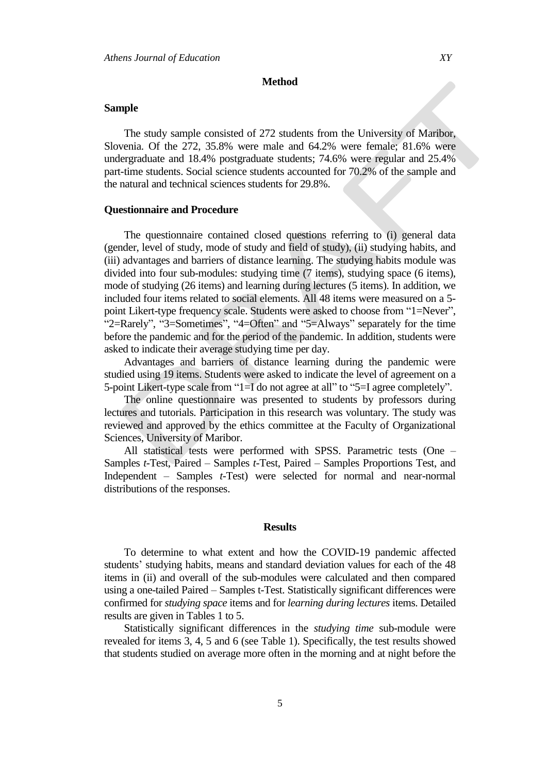#### **Method**

### **Sample**

The study sample consisted of 272 students from the University of Maribor, Slovenia. Of the 272, 35.8% were male and 64.2% were female; 81.6% were undergraduate and 18.4% postgraduate students; 74.6% were regular and 25.4% part-time students. Social science students accounted for 70.2% of the sample and the natural and technical sciences students for 29.8%.

#### **Questionnaire and Procedure**

The questionnaire contained closed questions referring to (i) general data (gender, level of study, mode of study and field of study), (ii) studying habits, and (iii) advantages and barriers of distance learning. The studying habits module was divided into four sub-modules: studying time (7 items), studying space (6 items), mode of studying (26 items) and learning during lectures (5 items). In addition, we included four items related to social elements. All 48 items were measured on a 5 point Likert-type frequency scale. Students were asked to choose from "1=Never", "2=Rarely", "3=Sometimes", "4=Often" and "5=Always" separately for the time before the pandemic and for the period of the pandemic. In addition, students were asked to indicate their average studying time per day.

Advantages and barriers of distance learning during the pandemic were studied using 19 items. Students were asked to indicate the level of agreement on a 5-point Likert-type scale from "1=I do not agree at all" to "5=I agree completely".

The online questionnaire was presented to students by professors during lectures and tutorials. Participation in this research was voluntary. The study was reviewed and approved by the ethics committee at the Faculty of Organizational Sciences, University of Maribor.

All statistical tests were performed with SPSS. Parametric tests (One – Samples *t-*Test, Paired – Samples *t-*Test, Paired – Samples Proportions Test, and Independent – Samples *t-*Test) were selected for normal and near-normal distributions of the responses.

### **Results**

To determine to what extent and how the COVID-19 pandemic affected students' studying habits, means and standard deviation values for each of the 48 items in (ii) and overall of the sub-modules were calculated and then compared using a one-tailed Paired – Samples t-Test. Statistically significant differences were confirmed for *studying space* items and for *learning during lectures* items. Detailed results are given in Tables 1 to 5.

Statistically significant differences in the *studying time* sub-module were revealed for items 3, 4, 5 and 6 (see Table 1). Specifically, the test results showed that students studied on average more often in the morning and at night before the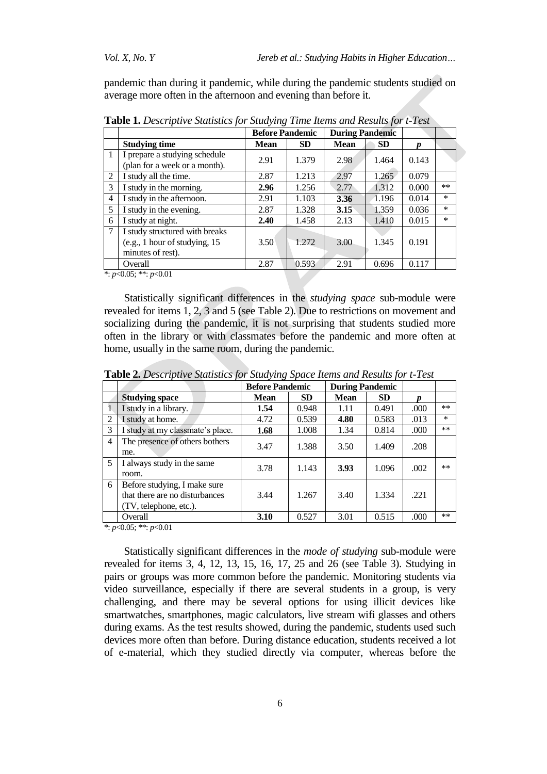pandemic than during it pandemic, while during the pandemic students studied on average more often in the afternoon and evening than before it.

|   |                                                                                      | <b>Before Pandemic</b> |           |             | <b>During Pandemic</b> |       |        |
|---|--------------------------------------------------------------------------------------|------------------------|-----------|-------------|------------------------|-------|--------|
|   | <b>Studying time</b>                                                                 | <b>Mean</b>            | <b>SD</b> | <b>Mean</b> | <b>SD</b>              |       |        |
|   | I prepare a studying schedule<br>(plan for a week or a month).                       | 2.91                   | 1.379     | 2.98        | 1.464                  | 0.143 |        |
| 2 | I study all the time.                                                                | 2.87                   | 1.213     | 2.97        | 1.265                  | 0.079 |        |
| 3 | I study in the morning.                                                              | 2.96                   | 1.256     | 2.77        | 1.312                  | 0.000 | **     |
| 4 | I study in the afternoon.                                                            | 2.91                   | 1.103     | 3.36        | 1.196                  | 0.014 | $\ast$ |
| 5 | I study in the evening.                                                              | 2.87                   | 1.328     | 3.15        | 1.359                  | 0.036 | $\ast$ |
| 6 | I study at night.                                                                    | 2.40                   | 1.458     | 2.13        | 1.410                  | 0.015 | $\ast$ |
| 7 | I study structured with breaks<br>(e.g., 1 hour of studying, 15<br>minutes of rest). | 3.50                   | 1.272     | 3.00        | 1.345                  | 0.191 |        |
|   | Overall<br>.                                                                         | 2.87                   | 0.593     | 2.91        | 0.696                  | 0.117 |        |

**Table 1.** *Descriptive Statistics for Studying Time Items and Results for t-Test*

\*: *p*<0.05; \*\*: *p*<0.01

Statistically significant differences in the *studying space* sub-module were revealed for items 1, 2, 3 and 5 (see Table 2). Due to restrictions on movement and socializing during the pandemic, it is not surprising that students studied more often in the library or with classmates before the pandemic and more often at home, usually in the same room, during the pandemic.

|   |                                  | <b>Before Pandemic</b> |           | <b>During Pandemic</b> |           |      |        |
|---|----------------------------------|------------------------|-----------|------------------------|-----------|------|--------|
|   | <b>Studying space</b>            | <b>Mean</b>            | <b>SD</b> | <b>Mean</b>            | <b>SD</b> | n    |        |
|   | I study in a library.            | 1.54                   | 0.948     | 1.11                   | 0.491     | .000 | $***$  |
| 2 | I study at home.                 | 4.72                   | 0.539     | 4.80                   | 0.583     | .013 | $\ast$ |
| 3 | I study at my classmate's place. | 1.68                   | 1.008     | 1.34                   | 0.814     | .000 | $***$  |
| 4 | The presence of others bothers   | 3.47                   | 1.388     | 3.50                   | 1.409     | .208 |        |
|   | me.                              |                        |           |                        |           |      |        |
| 5 | I always study in the same       | 3.78                   | 1.143     | 3.93                   | 1.096     | .002 | $***$  |
|   | room.                            |                        |           |                        |           |      |        |
| 6 | Before studying, I make sure     |                        |           |                        |           |      |        |
|   | that there are no disturbances   | 3.44                   | 1.267     | 3.40                   | 1.334     | .221 |        |
|   | (TV, telephone, etc.).           |                        |           |                        |           |      |        |
|   | Overall                          | 3.10                   | 0.527     | 3.01                   | 0.515     | .000 | $***$  |

**Table 2.** *Descriptive Statistics for Studying Space Items and Results for t-Test*

\*: *p*<0.05; \*\*: *p*<0.01

Statistically significant differences in the *mode of studying* sub-module were revealed for items 3, 4, 12, 13, 15, 16, 17, 25 and 26 (see Table 3). Studying in pairs or groups was more common before the pandemic. Monitoring students via video surveillance, especially if there are several students in a group, is very challenging, and there may be several options for using illicit devices like smartwatches, smartphones, magic calculators, live stream wifi glasses and others during exams. As the test results showed, during the pandemic, students used such devices more often than before. During distance education, students received a lot of e-material, which they studied directly via computer, whereas before the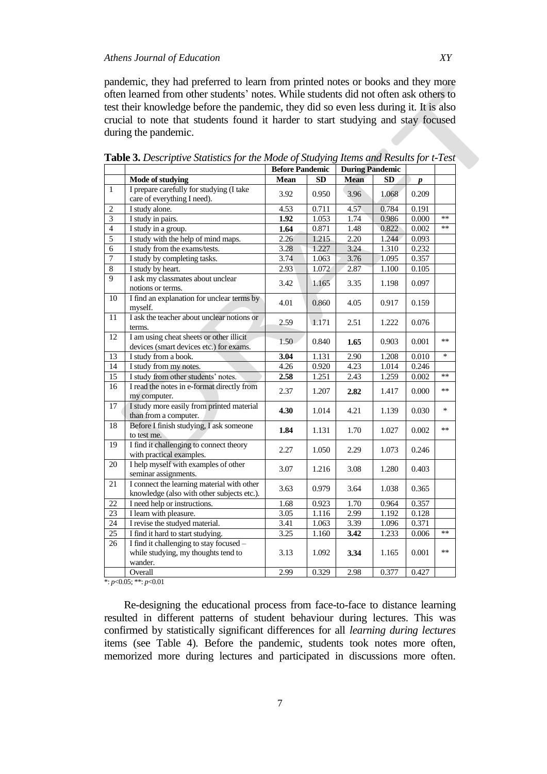pandemic, they had preferred to learn from printed notes or books and they more often learned from other students' notes. While students did not often ask others to test their knowledge before the pandemic, they did so even less during it. It is also crucial to note that students found it harder to start studying and stay focused during the pandemic.

|                         |                                                                                           | <b>Before Pandemic</b> |                    | <b>During Pandemic</b> |       |       |        |
|-------------------------|-------------------------------------------------------------------------------------------|------------------------|--------------------|------------------------|-------|-------|--------|
|                         | Mode of studying                                                                          | <b>Mean</b>            | SD                 | <b>Mean</b>            | SD    | p     |        |
| 1                       | I prepare carefully for studying (I take                                                  | 3.92                   | 0.950              | 3.96                   | 1.068 | 0.209 |        |
|                         | care of everything I need).                                                               |                        |                    |                        |       |       |        |
| $\overline{2}$          | I study alone.                                                                            | 4.53                   | 0.711              | 4.57                   | 0.784 | 0.191 |        |
| $\overline{\mathbf{3}}$ | I study in pairs.                                                                         | 1.92                   | 1.053              | 1.74                   | 0.986 | 0.000 | $**$   |
| $\overline{4}$          | I study in a group.                                                                       | 1.64                   | 0.871              | 1.48                   | 0.822 | 0.002 | $**$   |
| $\overline{5}$          | I study with the help of mind maps.                                                       | 2.26                   | 1.215              | 2.20                   | 1.244 | 0.093 |        |
| 6                       | I study from the exams/tests.                                                             | 3.28                   | 1.227              | 3.24                   | 1.310 | 0.232 |        |
| $\overline{7}$          | I study by completing tasks.                                                              | 3.74                   | 1.063              | 3.76                   | 1.095 | 0.357 |        |
| $\overline{8}$          | I study by heart.                                                                         | 2.93                   | 1.072              | 2.87                   | 1.100 | 0.105 |        |
| 9                       | I ask my classmates about unclear<br>notions or terms.                                    | 3.42                   | 1.165              | 3.35                   | 1.198 | 0.097 |        |
| 10                      | I find an explanation for unclear terms by<br>myself.                                     | 4.01                   | 0.860              | 4.05                   | 0.917 | 0.159 |        |
| 11                      | I ask the teacher about unclear notions or<br>terms.                                      | 2.59                   | 1.171              | 2.51                   | 1.222 | 0.076 |        |
| $\overline{12}$         | I am using cheat sheets or other illicit<br>devices (smart devices etc.) for exams.       | 1.50                   | 0.840              | 1.65                   | 0.903 | 0.001 | $**$   |
| 13                      | I study from a book.                                                                      | 3.04                   | $\overline{1.131}$ | 2.90                   | 1.208 | 0.010 | $\ast$ |
| 14                      | I study from my notes.                                                                    | 4.26                   | 0.920              | 4.23                   | 1.014 | 0.246 |        |
| 15                      | I study from other students' notes.                                                       | 2.58                   | 1.251              | 2.43                   | 1.259 | 0.002 | $**$   |
| $\overline{16}$         | I read the notes in e-format directly from<br>my computer.                                | 2.37                   | 1.207              | 2.82                   | 1.417 | 0.000 | $***$  |
| $\overline{17}$         | I study more easily from printed material<br>than from a computer.                        | 4.30                   | 1.014              | 4.21                   | 1.139 | 0.030 | *      |
| 18                      | Before I finish studying, I ask someone<br>to test me.                                    | 1.84                   | 1.131              | 1.70                   | 1.027 | 0.002 | $**$   |
| 19                      | I find it challenging to connect theory<br>with practical examples.                       | 2.27                   | 1.050              | 2.29                   | 1.073 | 0.246 |        |
| 20                      | I help myself with examples of other<br>seminar assignments.                              | 3.07                   | 1.216              | 3.08                   | 1.280 | 0.403 |        |
| 21                      | I connect the learning material with other<br>knowledge (also with other subjects etc.).  | 3.63                   | 0.979              | 3.64                   | 1.038 | 0.365 |        |
| $\overline{22}$         | I need help or instructions.                                                              | 1.68                   | 0.923              | 1.70                   | 0.964 | 0.357 |        |
| 23                      | I learn with pleasure.                                                                    | 3.05                   | 1.116              | 2.99                   | 1.192 | 0.128 |        |
| $\overline{24}$         | I revise the studyed material.                                                            | 3.41                   | 1.063              | 3.39                   | 1.096 | 0.371 |        |
| 25                      | I find it hard to start studying.                                                         | 3.25                   | 1.160              | 3.42                   | 1.233 | 0.006 | $**$   |
| 26                      | I find it challenging to stay focused -<br>while studying, my thoughts tend to<br>wander. | 3.13                   | 1.092              | 3.34                   | 1.165 | 0.001 | $**$   |
|                         | Overall                                                                                   | 2.99                   | 0.329              | 2.98                   | 0.377 | 0.427 |        |
|                         |                                                                                           |                        |                    |                        |       |       |        |

**Table 3.** *Descriptive Statistics for the Mode of Studying Items and Results for t-Test*

\*: *p*<0.05; \*\*: *p*<0.01

Re-designing the educational process from face-to-face to distance learning resulted in different patterns of student behaviour during lectures. This was confirmed by statistically significant differences for all *learning during lectures* items (see Table 4). Before the pandemic, students took notes more often, memorized more during lectures and participated in discussions more often.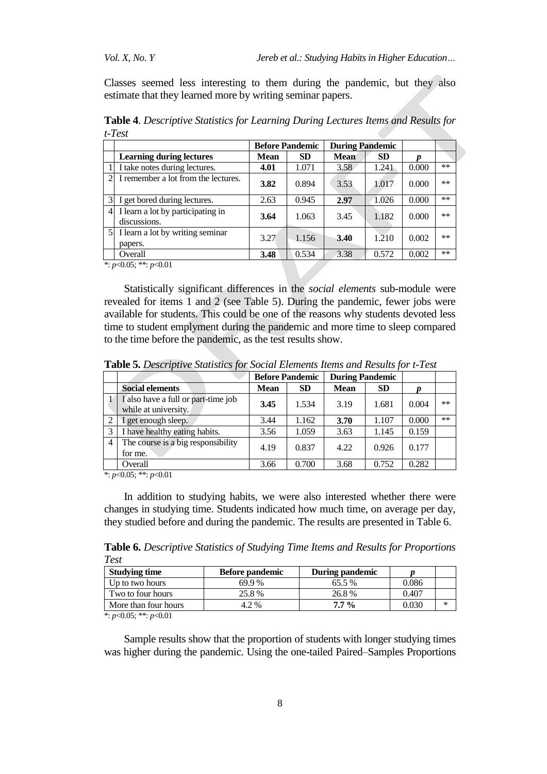Classes seemed less interesting to them during the pandemic, but they also estimate that they learned more by writing seminar papers.

|               |                                                   | <b>Before Pandemic</b> |           | <b>During Pandemic</b> |           |       |       |
|---------------|---------------------------------------------------|------------------------|-----------|------------------------|-----------|-------|-------|
|               | <b>Learning during lectures</b>                   | <b>Mean</b>            | <b>SD</b> | <b>Mean</b>            | <b>SD</b> |       |       |
|               | I take notes during lectures.                     | 4.01                   | 1.071     | 3.58                   | 1.241     | 0.000 | $**$  |
|               | I remember a lot from the lectures.               | 3.82                   | 0.894     | 3.53                   | 1.017     | 0.000 | $***$ |
| 31            | I get bored during lectures.                      | 2.63                   | 0.945     | 2.97                   | 1.026     | 0.000 | $**$  |
| $\frac{4}{ }$ | I learn a lot by participating in<br>discussions. | 3.64                   | 1.063     | 3.45                   | 1.182     | 0.000 | $***$ |
|               | 5 I learn a lot by writing seminar<br>papers.     | 3.27                   | 1.156     | 3.40                   | 1.210     | 0.002 | $***$ |
|               | Overall                                           | 3.48                   | 0.534     | 3.38                   | 0.572     | 0.002 | $***$ |

**Table 4**. *Descriptive Statistics for Learning During Lectures Items and Results for t-Test*

\*: *p*<0.05; \*\*: *p*<0.01

Statistically significant differences in the *social elements* sub-module were revealed for items 1 and 2 (see Table 5). During the pandemic, fewer jobs were available for students. This could be one of the reasons why students devoted less time to student emplyment during the pandemic and more time to sleep compared to the time before the pandemic, as the test results show.

|      |                                                             | <b>Before Pandemic</b> |           | <b>During Pandemic</b> |           |       |       |
|------|-------------------------------------------------------------|------------------------|-----------|------------------------|-----------|-------|-------|
|      | <b>Social elements</b>                                      | <b>Mean</b>            | <b>SD</b> | <b>Mean</b>            | <b>SD</b> |       |       |
|      | I also have a full or part-time job<br>while at university. | 3.45                   | 1.534     | 3.19                   | 1.681     | 0.004 | $***$ |
|      | I get enough sleep.                                         | 3.44                   | 1.162     | 3.70                   | 1.107     | 0.000 | $***$ |
|      | I have healthy eating habits.                               | 3.56                   | 1.059     | 3.63                   | 1.145     | 0.159 |       |
| 4    | The course is a big responsibility<br>for me.               | 4.19                   | 0.837     | 4.22                   | 0.926     | 0.177 |       |
| $-1$ | Overall<br>$\bigcap_{i=1}^n$<br>$\sim$ $\sim$ $\sim$        | 3.66                   | 0.700     | 3.68                   | 0.752     | 0.282 |       |

**Table 5.** *Descriptive Statistics for Social Elements Items and Results for t-Test*

\*: *p*<0.05; \*\*: *p*<0.01

In addition to studying habits, we were also interested whether there were changes in studying time. Students indicated how much time, on average per day, they studied before and during the pandemic. The results are presented in Table 6.

**Table 6.** *Descriptive Statistics of Studying Time Items and Results for Proportions Test*

| <b>Studying time</b> | <b>Before pandemic</b> | During pandemic |       |        |
|----------------------|------------------------|-----------------|-------|--------|
| Up to two hours      | 69.9%                  | 65.5%           | 0.086 |        |
| Two to four hours    | 25.8%                  | 26.8%           | 0.407 |        |
| More than four hours | 4.2%                   | $7.7\%$         | 0.030 | $\ast$ |

\*: *p*<0.05; \*\*: *p*<0.01

Sample results show that the proportion of students with longer studying times was higher during the pandemic. Using the one-tailed Paired–Samples Proportions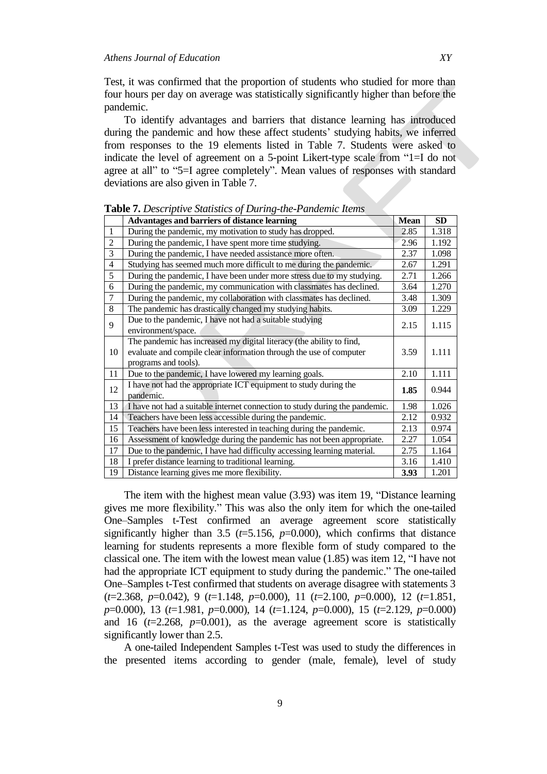Test, it was confirmed that the proportion of students who studied for more than four hours per day on average was statistically significantly higher than before the pandemic.

To identify advantages and barriers that distance learning has introduced during the pandemic and how these affect students' studying habits, we inferred from responses to the 19 elements listed in Table 7. Students were asked to indicate the level of agreement on a 5-point Likert-type scale from "1=I do not agree at all" to "5=I agree completely". Mean values of responses with standard deviations are also given in Table 7.

|                | <b>Advantages and barriers of distance learning</b>                                                                                                                | <b>Mean</b> | <b>SD</b> |
|----------------|--------------------------------------------------------------------------------------------------------------------------------------------------------------------|-------------|-----------|
| $\mathbf{1}$   | During the pandemic, my motivation to study has dropped.                                                                                                           | 2.85        | 1.318     |
| $\overline{2}$ | During the pandemic, I have spent more time studying.                                                                                                              | 2.96        | 1.192     |
| 3              | During the pandemic, I have needed assistance more often.                                                                                                          | 2.37        | 1.098     |
| $\overline{4}$ | Studying has seemed much more difficult to me during the pandemic.                                                                                                 | 2.67        | 1.291     |
| 5              | During the pandemic, I have been under more stress due to my studying.                                                                                             | 2.71        | 1.266     |
| 6              | During the pandemic, my communication with classmates has declined.                                                                                                | 3.64        | 1.270     |
| $\overline{7}$ | During the pandemic, my collaboration with classmates has declined.                                                                                                | 3.48        | 1.309     |
| 8              | The pandemic has drastically changed my studying habits.                                                                                                           | 3.09        | 1.229     |
| 9              | Due to the pandemic, I have not had a suitable studying<br>environment/space.                                                                                      | 2.15        | 1.115     |
| 10             | The pandemic has increased my digital literacy (the ability to find,<br>evaluate and compile clear information through the use of computer<br>programs and tools). | 3.59        | 1.111     |
| 11             | Due to the pandemic, I have lowered my learning goals.                                                                                                             | 2.10        | 1.111     |
| 12             | I have not had the appropriate ICT equipment to study during the<br>pandemic.                                                                                      | 1.85        | 0.944     |
| 13             | I have not had a suitable internet connection to study during the pandemic.                                                                                        | 1.98        | 1.026     |
| 14             | Teachers have been less accessible during the pandemic.                                                                                                            | 2.12        | 0.932     |
| 15             | Teachers have been less interested in teaching during the pandemic.                                                                                                | 2.13        | 0.974     |
| 16             | Assessment of knowledge during the pandemic has not been appropriate.                                                                                              | 2.27        | 1.054     |
| 17             | Due to the pandemic, I have had difficulty accessing learning material.                                                                                            | 2.75        | 1.164     |
| 18             | I prefer distance learning to traditional learning.                                                                                                                | 3.16        | 1.410     |
| 19             | Distance learning gives me more flexibility.                                                                                                                       | 3.93        | 1.201     |

**Table 7.** *Descriptive Statistics of During-the-Pandemic Items*

The item with the highest mean value (3.93) was item 19, "Distance learning gives me more flexibility." This was also the only item for which the one-tailed One–Samples t-Test confirmed an average agreement score statistically significantly higher than 3.5 ( $t=5.156$ ,  $p=0.000$ ), which confirms that distance learning for students represents a more flexible form of study compared to the classical one. The item with the lowest mean value (1.85) was item 12, "I have not had the appropriate ICT equipment to study during the pandemic." The one-tailed One–Samples t-Test confirmed that students on average disagree with statements 3 (*t*=2.368, *p*=0.042), 9 (*t*=1.148, *p*=0.000), 11 (*t*=2.100, *p*=0.000), 12 (*t*=1.851, *p*=0.000), 13 (*t*=1.981, *p*=0.000), 14 (*t*=1.124, *p*=0.000), 15 (*t*=2.129, *p*=0.000) and 16  $(t=2.268, p=0.001)$ , as the average agreement score is statistically significantly lower than 2.5.

A one-tailed Independent Samples t-Test was used to study the differences in the presented items according to gender (male, female), level of study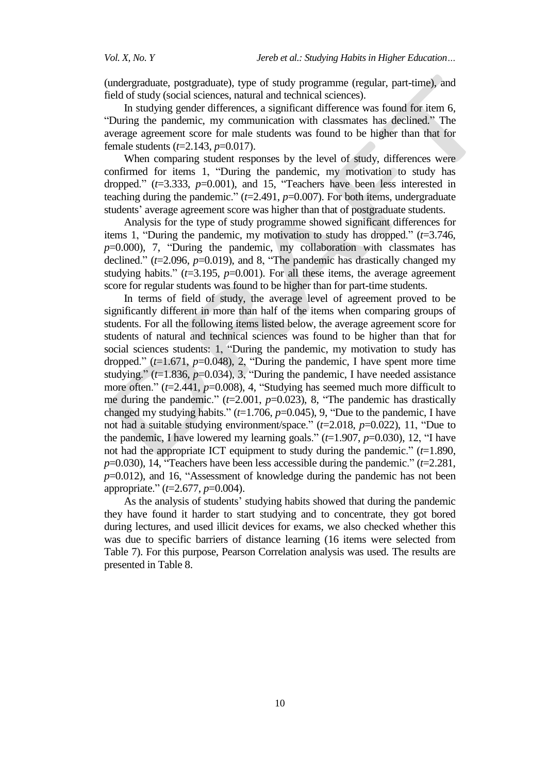(undergraduate, postgraduate), type of study programme (regular, part-time), and field of study (social sciences, natural and technical sciences).

In studying gender differences, a significant difference was found for item 6, "During the pandemic, my communication with classmates has declined." The average agreement score for male students was found to be higher than that for female students (*t*=2.143, *p*=0.017).

When comparing student responses by the level of study, differences were confirmed for items 1, "During the pandemic, my motivation to study has dropped." ( $t=3.333$ ,  $p=0.001$ ), and 15, "Teachers have been less interested in teaching during the pandemic."  $(t=2.491, p=0.007)$ . For both items, undergraduate students' average agreement score was higher than that of postgraduate students.

Analysis for the type of study programme showed significant differences for items 1, "During the pandemic, my motivation to study has dropped." (*t*=3.746, *p*=0.000), 7, "During the pandemic, my collaboration with classmates has declined." (*t*=2.096, *p*=0.019), and 8, "The pandemic has drastically changed my studying habits."  $(t=3.195, p=0.001)$ . For all these items, the average agreement score for regular students was found to be higher than for part-time students.

In terms of field of study, the average level of agreement proved to be significantly different in more than half of the items when comparing groups of students. For all the following items listed below, the average agreement score for students of natural and technical sciences was found to be higher than that for social sciences students: 1, "During the pandemic, my motivation to study has dropped."  $(t=1.671, p=0.048)$ , 2, "During the pandemic, I have spent more time studying." (*t*=1.836, *p*=0.034), 3, "During the pandemic, I have needed assistance more often." ( $t=2.441$ ,  $p=0.008$ ), 4, "Studying has seemed much more difficult to me during the pandemic." (*t*=2.001, *p*=0.023), 8, "The pandemic has drastically changed my studying habits." (*t*=1.706, *p*=0.045), 9, "Due to the pandemic, I have not had a suitable studying environment/space." (*t*=2.018, *p*=0.022), 11, "Due to the pandemic, I have lowered my learning goals."  $(t=1.907, p=0.030)$ , 12, "I have not had the appropriate ICT equipment to study during the pandemic."  $(t=1.890)$ , *p*=0.030), 14, "Teachers have been less accessible during the pandemic." (*t*=2.281, *p*=0.012), and 16, "Assessment of knowledge during the pandemic has not been appropriate." (*t*=2.677, *p*=0.004).

As the analysis of students' studying habits showed that during the pandemic they have found it harder to start studying and to concentrate, they got bored during lectures, and used illicit devices for exams, we also checked whether this was due to specific barriers of distance learning (16 items were selected from Table 7). For this purpose, Pearson Correlation analysis was used. The results are presented in Table 8.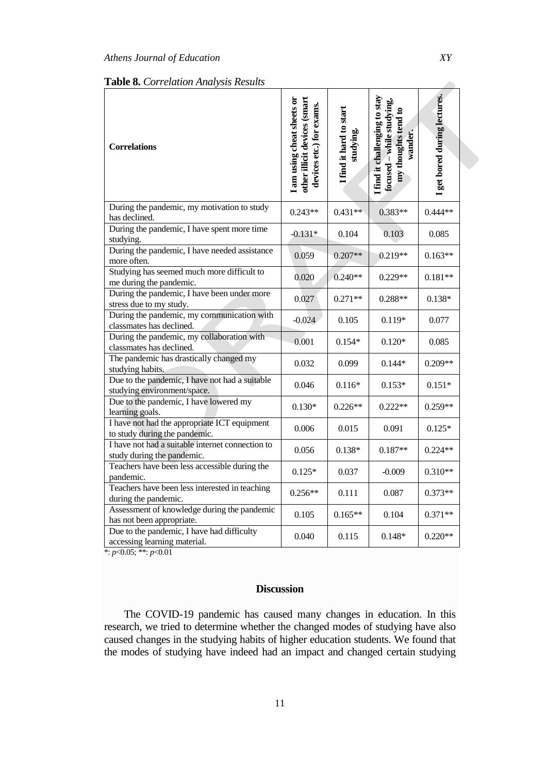| <b>Table 8.</b> Correlation Analysis Results                                   |                                                                                        |                                      |                                                                                              |                              |
|--------------------------------------------------------------------------------|----------------------------------------------------------------------------------------|--------------------------------------|----------------------------------------------------------------------------------------------|------------------------------|
| <b>Correlations</b>                                                            | other illicit devices (smart<br>I am using cheat sheets or<br>devices etc.) for exams. | I find it hard to start<br>studying. | I find it challenging to stay<br>focused - while studying,<br>my thoughts tend to<br>wander. | I get bored during lectures. |
| During the pandemic, my motivation to study<br>has declined.                   | $0.243**$                                                                              | $0.431**$                            | 0.383**                                                                                      | $0.444**$                    |
| During the pandemic, I have spent more time<br>studying.                       | $-0.131*$                                                                              | 0.104                                | 0.103                                                                                        | 0.085                        |
| During the pandemic, I have needed assistance<br>more often.                   | 0.059                                                                                  | $0.207**$                            | 0.219**                                                                                      | $0.163**$                    |
| Studying has seemed much more difficult to<br>me during the pandemic.          | 0.020                                                                                  | $0.240**$                            | $0.229**$                                                                                    | $0.181**$                    |
| During the pandemic, I have been under more<br>stress due to my study.         | 0.027                                                                                  | $0.271**$                            | $0.288**$                                                                                    | $0.138*$                     |
| During the pandemic, my communication with<br>classmates has declined.         | $-0.024$                                                                               | 0.105                                | $0.119*$                                                                                     | 0.077                        |
| During the pandemic, my collaboration with<br>classmates has declined.         | 0.001                                                                                  | $0.154*$                             | $0.120*$                                                                                     | 0.085                        |
| The pandemic has drastically changed my<br>studying habits.                    | 0.032                                                                                  | 0.099                                | $0.144*$                                                                                     | $0.209**$                    |
| Due to the pandemic, I have not had a suitable<br>studying environment/space.  | 0.046                                                                                  | $0.116*$                             | $0.153*$                                                                                     | $0.151*$                     |
| Due to the pandemic, I have lowered my<br>learning goals.                      | $0.130*$                                                                               | $0.226**$                            | $0.222**$                                                                                    | $0.259**$                    |
| I have not had the appropriate ICT equipment<br>to study during the pandemic.  | 0.006                                                                                  | 0.015                                | 0.091                                                                                        | $0.125*$                     |
| I have not had a suitable internet connection to<br>study during the pandemic. | 0.056                                                                                  | $0.138*$                             | $0.187**$                                                                                    | $0.224**$                    |
| Teachers have been less accessible during the<br>pandemic.                     | $0.125*$                                                                               | 0.037                                | $-0.009$                                                                                     | $0.310**$                    |
| Teachers have been less interested in teaching<br>during the pandemic.         | $0.256**$                                                                              | 0.111                                | 0.087                                                                                        | $0.373**$                    |
| Assessment of knowledge during the pandemic<br>has not been appropriate.       | 0.105                                                                                  | $0.165**$                            | 0.104                                                                                        | $0.371**$                    |
| Due to the pandemic, I have had difficulty<br>accessing learning material.     | 0.040                                                                                  | 0.115                                | $0.148*$                                                                                     | $0.220**$                    |

\*: *p*<0.05; \*\*: *p*<0.01

## **Discussion**

The COVID-19 pandemic has caused many changes in education. In this research, we tried to determine whether the changed modes of studying have also caused changes in the studying habits of higher education students. We found that the modes of studying have indeed had an impact and changed certain studying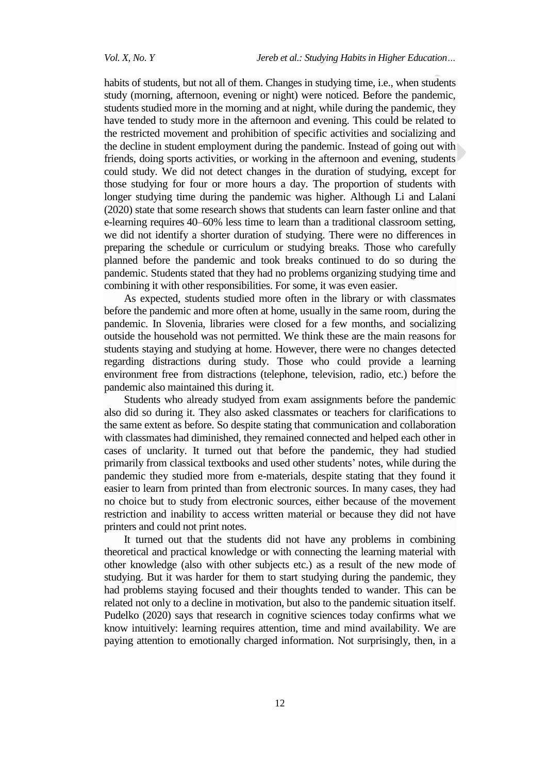habits of students, but not all of them. Changes in studying time, i.e., when students study (morning, afternoon, evening or night) were noticed. Before the pandemic, students studied more in the morning and at night, while during the pandemic, they have tended to study more in the afternoon and evening. This could be related to the restricted movement and prohibition of specific activities and socializing and the decline in student employment during the pandemic. Instead of going out with friends, doing sports activities, or working in the afternoon and evening, students could study. We did not detect changes in the duration of studying, except for those studying for four or more hours a day. The proportion of students with longer studying time during the pandemic was higher. Although Li and Lalani (2020) state that some research shows that students can learn faster online and that e-learning requires [40–60% less time to learn](https://techjury.net/stats-about/elearning/#gref) than a traditional classroom setting, we did not identify a shorter duration of studying. There were no differences in preparing the schedule or curriculum or studying breaks. Those who carefully planned before the pandemic and took breaks continued to do so during the pandemic. Students stated that they had no problems organizing studying time and combining it with other responsibilities. For some, it was even easier.

As expected, students studied more often in the library or with classmates before the pandemic and more often at home, usually in the same room, during the pandemic. In Slovenia, libraries were closed for a few months, and socializing outside the household was not permitted. We think these are the main reasons for students staying and studying at home. However, there were no changes detected regarding distractions during study. Those who could provide a learning environment free from distractions (telephone, television, radio, etc.) before the pandemic also maintained this during it.

Students who already studyed from exam assignments before the pandemic also did so during it. They also asked classmates or teachers for clarifications to the same extent as before. So despite stating that communication and collaboration with classmates had diminished, they remained connected and helped each other in cases of unclarity. It turned out that before the pandemic, they had studied primarily from classical textbooks and used other students' notes, while during the pandemic they studied more from e-materials, despite stating that they found it easier to learn from printed than from electronic sources. In many cases, they had no choice but to study from electronic sources, either because of the movement restriction and inability to access written material or because they did not have printers and could not print notes.

It turned out that the students did not have any problems in combining theoretical and practical knowledge or with connecting the learning material with other knowledge (also with other subjects etc.) as a result of the new mode of studying. But it was harder for them to start studying during the pandemic, they had problems staying focused and their thoughts tended to wander. This can be related not only to a decline in motivation, but also to the pandemic situation itself. Pudelko (2020) says that research in cognitive sciences today confirms what we know intuitively: learning requires attention, time and mind availability. We are paying attention to emotionally charged information. Not surprisingly, then, in a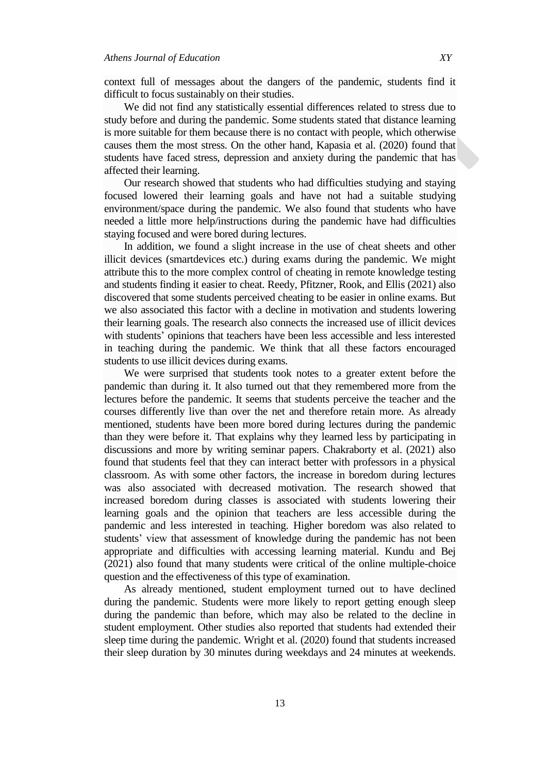context full of messages about the dangers of the pandemic, students find it difficult to focus sustainably on their studies.

We did not find any statistically essential differences related to stress due to study before and during the pandemic. Some students stated that distance learning is more suitable for them because there is no contact with people, which otherwise causes them the most stress. On the other hand, Kapasia et al. (2020) found that students have faced stress, depression and anxiety during the pandemic that has affected their learning.

Our research showed that students who had difficulties studying and staying focused lowered their learning goals and have not had a suitable studying environment/space during the pandemic. We also found that students who have needed a little more help/instructions during the pandemic have had difficulties staying focused and were bored during lectures.

In addition, we found a slight increase in the use of cheat sheets and other illicit devices (smartdevices etc.) during exams during the pandemic. We might attribute this to the more complex control of cheating in remote knowledge testing and students finding it easier to cheat. Reedy, Pfitzner, Rook, and Ellis (2021) also discovered that some students perceived cheating to be easier in online exams. But we also associated this factor with a decline in motivation and students lowering their learning goals. The research also connects the increased use of illicit devices with students' opinions that teachers have been less accessible and less interested in teaching during the pandemic. We think that all these factors encouraged students to use illicit devices during exams.

We were surprised that students took notes to a greater extent before the pandemic than during it. It also turned out that they remembered more from the lectures before the pandemic. It seems that students perceive the teacher and the courses differently live than over the net and therefore retain more. As already mentioned, students have been more bored during lectures during the pandemic than they were before it. That explains why they learned less by participating in discussions and more by writing seminar papers. Chakraborty et al. (2021) also found that students feel that they can interact better with professors in a physical classroom. As with some other factors, the increase in boredom during lectures was also associated with decreased motivation. The research showed that increased boredom during classes is associated with students lowering their learning goals and the opinion that teachers are less accessible during the pandemic and less interested in teaching. Higher boredom was also related to students' view that assessment of knowledge during the pandemic has not been appropriate and difficulties with accessing learning material. Kundu and Bej (2021) also found that many students were critical of the online multiple-choice question and the effectiveness of this type of examination.

As already mentioned, student employment turned out to have declined during the pandemic. Students were more likely to report getting enough sleep during the pandemic than before, which may also be related to the decline in student employment. Other studies also reported that students had extended their sleep time during the pandemic. Wright et al. (2020) found that students increased their sleep duration by 30 minutes during weekdays and 24 minutes at weekends.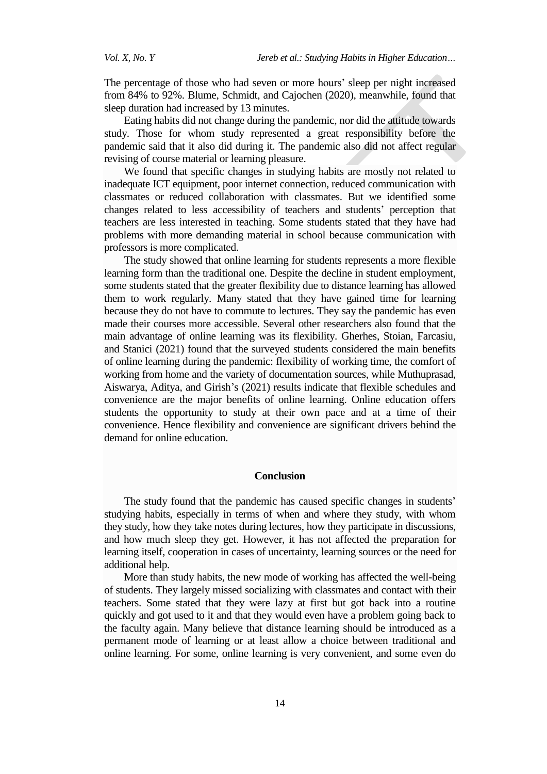The percentage of those who had seven or more hours' sleep per night increased from 84% to 92%. Blume, Schmidt, and Cajochen (2020), meanwhile, found that sleep duration had increased by 13 minutes.

Eating habits did not change during the pandemic, nor did the attitude towards study. Those for whom study represented a great responsibility before the pandemic said that it also did during it. The pandemic also did not affect regular revising of course material or learning pleasure.

We found that specific changes in studying habits are mostly not related to inadequate ICT equipment, poor internet connection, reduced communication with classmates or reduced collaboration with classmates. But we identified some changes related to less accessibility of teachers and students' perception that teachers are less interested in teaching. Some students stated that they have had problems with more demanding material in school because communication with professors is more complicated.

The study showed that online learning for students represents a more flexible learning form than the traditional one. Despite the decline in student employment, some students stated that the greater flexibility due to distance learning has allowed them to work regularly. Many stated that they have gained time for learning because they do not have to commute to lectures. They say the pandemic has even made their courses more accessible. Several other researchers also found that the main advantage of online learning was its flexibility. Gherhes, Stoian, Farcasiu, and Stanici (2021) found that the surveyed students considered the main benefits of online learning during the pandemic: flexibility of working time, the comfort of working from home and the variety of documentation sources, while Muthuprasad, Aiswarya, Aditya, and Girish's (2021) results indicate that flexible schedules and convenience are the major benefits of online learning. Online education offers students the opportunity to study at their own pace and at a time of their convenience. Hence flexibility and convenience are significant drivers behind the demand for online education.

#### **Conclusion**

The study found that the pandemic has caused specific changes in students' studying habits, especially in terms of when and where they study, with whom they study, how they take notes during lectures, how they participate in discussions, and how much sleep they get. However, it has not affected the preparation for learning itself, cooperation in cases of uncertainty, learning sources or the need for additional help.

More than study habits, the new mode of working has affected the well-being of students. They largely missed socializing with classmates and contact with their teachers. Some stated that they were lazy at first but got back into a routine quickly and got used to it and that they would even have a problem going back to the faculty again. Many believe that distance learning should be introduced as a permanent mode of learning or at least allow a choice between traditional and online learning. For some, online learning is very convenient, and some even do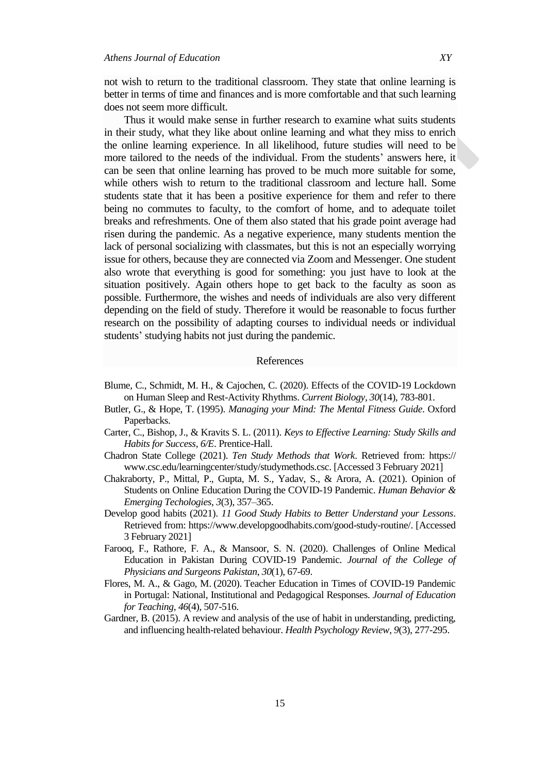not wish to return to the traditional classroom. They state that online learning is better in terms of time and finances and is more comfortable and that such learning does not seem more difficult.

Thus it would make sense in further research to examine what suits students in their study, what they like about online learning and what they miss to enrich the online learning experience. In all likelihood, future studies will need to be more tailored to the needs of the individual. From the students' answers here, it can be seen that online learning has proved to be much more suitable for some, while others wish to return to the traditional classroom and lecture hall. Some students state that it has been a positive experience for them and refer to there being no commutes to faculty, to the comfort of home, and to adequate toilet breaks and refreshments. One of them also stated that his grade point average had risen during the pandemic. As a negative experience, many students mention the lack of personal socializing with classmates, but this is not an especially worrying issue for others, because they are connected via Zoom and Messenger. One student also wrote that everything is good for something: you just have to look at the situation positively. Again others hope to get back to the faculty as soon as possible. Furthermore, the wishes and needs of individuals are also very different depending on the field of study. Therefore it would be reasonable to focus further research on the possibility of adapting courses to individual needs or individual students' studying habits not just during the pandemic.

#### References

- Blume, C., Schmidt, M. H., & Cajochen, C. (2020). Effects of the COVID-19 Lockdown on Human Sleep and Rest-Activity Rhythms. *Current Biology, 30*(14), 783-801.
- Butler, G., & Hope, T. (1995). *Managing your Mind: The Mental Fitness Guide*. Oxford Paperbacks.
- Carter, C., Bishop, J., & Kravits S. L. (2011). *Keys to Effective Learning: Study Skills and Habits for Success, 6/E*. Prentice-Hall.
- [Chadron State College](https://www.csc.edu/visitors/) (2021). *Ten Study Methods that Work*. Retrieved from: https:// www.csc.edu/learningcenter/study/studymethods.csc. [Accessed 3 February 2021]
- Chakraborty, P., Mittal, P., Gupta, M. S., Yadav, S., & Arora, A. (2021). Opinion of Students on Online Education During the COVID-19 Pandemic. *Human Behavior & Emerging Techologies*, *3*(3), 357–365.
- Develop good habits (2021). *11 Good Study Habits to Better Understand your Lessons*. Retrieved from: [https://www.developgoodhabits.com/good-study-routine/.](https://www.developgoodhabits.com/good-study-routine/) [Accessed 3 February 2021]
- Farooq, F., Rathore, F. A., & Mansoor, S. N. (2020). Challenges of Online Medical Education in Pakistan During COVID-19 Pandemic. *Journal of the College of Physicians and Surgeons Pakistan*, *30*(1), 67-69.
- Flores, M. A., & Gago, M. (2020). Teacher Education in Times of COVID-19 Pandemic in Portugal: National, Institutional and Pedagogical Responses. *Journal of Education for Teaching*, *46*(4), 507-516.
- Gardner, B. (2015). A review and analysis of the use of habit in understanding, predicting, and influencing health-related behaviour. *Health Psychology Review*, *9*(3), 277-295.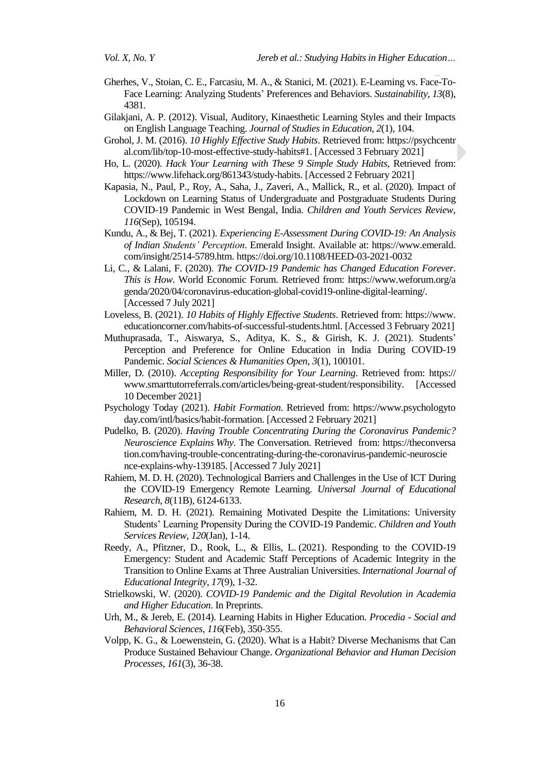- Gherhes, V., Stoian, C. E., Farcasiu, M. A., & Stanici, M. (2021). E-Learning vs. Face-To-Face Learning: Analyzing Students' Preferences and Behaviors. *Sustainability*, *13*(8), 4381.
- Gilakjani, A. P. (2012). Visual, Auditory, Kinaesthetic Learning Styles and their Impacts on English Language Teaching. *Journal of Studies in Education, 2*(1), 104.
- Grohol, J. M. (2016). *10 Highly Effective Study Habits*. Retrieved from: https://psychcentr al.com/lib/top-10-most-effective-study-habits#1. [Accessed 3 February 2021]
- Ho, L. (2020). *Hack Your Learning with These 9 Simple Study Habits*, Retrieved from: https://www.lifehack.org/861343/study-habits. [Accessed 2 February 2021]
- Kapasia, N., Paul, P., Roy, A., Saha, J., Zaveri, A., Mallick, R., et al. (2020). Impact of Lockdown on Learning Status of Undergraduate and Postgraduate Students During COVID-19 Pandemic in West Bengal, India. *Children and Youth Services Review*, *116*(Sep), 105194.
- [Kundu, A.,](https://www.emerald.com/insight/search?q=Arnab%20Kundu) & [Bej, T.](https://www.emerald.com/insight/search?q=Tripti%20Bej) (2021). *Experiencing E-Assessment During COVID-19: An Analysis of Indian Students' Perception*. Emerald Insight. Available at: https://www.emerald. com/insight/2514-5789.htm. <https://doi.org/10.1108/HEED-03-2021-0032>
- Li, C., & Lalani, F. (2020). *The COVID-19 Pandemic has Changed Education Forever. This is How*. World Economic Forum. Retrieved from: https://www.weforum.org/a genda/2020/04/coronavirus-education-global-covid19-online-digital-learning/. [Accessed 7 July 2021]
- Loveless, B. (2021). *10 Habits of Highly Effective Students*. Retrieved from: https://www. educationcorner.com/habits-of-successful-students.html. [Accessed 3 February 2021]
- [Muthuprasada,](https://www.sciencedirect.com/science/article/pii/S2590291120300905#!) [T., Aiswarya, S., A](https://www.sciencedirect.com/science/article/pii/S2590291120300905#!)ditya, K. S., & Girish, K. J. (2021). Students' Perception and Preference for Online Education in India During COVID-19 Pandemic. *[Social Sciences & Humanities Open,](https://www.sciencedirect.com/science/journal/25902911) 3*(1), 100101.
- Miller, D. (2010). *Accepting Responsibility for Your Learning*. Retrieved from: https:// www.smarttutorreferrals.com/articles/being-great-student/responsibility. [Accessed 10 December 2021]
- Psychology Today (2021). *Habit Formation*. Retrieved from: https://www.psychologyto day.com/intl/basics/habit-formation. [Accessed 2 February 2021]
- Pudelko, B. (2020). *Having Trouble Concentrating During the Coronavirus Pandemic? Neuroscience Explains Why*. The Conversation. Retrieved from: https://theconversa tion.com/having-trouble-concentrating-during-the-coronavirus-pandemic-neuroscie nce-explains-why-139185. [Accessed 7 July 2021]
- Rahiem, M. D. H. (2020). Technological Barriers and Challenges in the Use of ICT During the COVID-19 Emergency Remote Learning. *Universal Journal of Educational Research*, *8*(11B), 6124-6133.
- Rahiem, M. D. H. (2021). Remaining Motivated Despite the Limitations: University Students' Learning Propensity During the COVID-19 Pandemic. *Children and Youth Services Review*, *120*(Jan), 1-14.
- Reedy, A., Pfitzner, D., Rook, L., & Ellis, L. (2021). Responding to the COVID-19 Emergency: Student and Academic Staff Perceptions of Academic Integrity in the Transition to Online Exams at Three Australian Universities. *International Journal of Educational Integrity, 17*(9), 1-32.
- Strielkowski, W. (2020). *COVID-19 Pandemic and the Digital Revolution in Academia and Higher Education*. In Preprints.
- Urh, M., & Jereb, E. (2014). Learning Habits in Higher Education. *Procedia - Social and Behavioral Sciences*, *116*(Feb), 350-355.
- Volpp, K. G., & Loewenstein, G. (2020). What is a Habit? Diverse Mechanisms that Can Produce Sustained Behaviour Change. *Organizational Behavior and Human Decision Processes*, *161*(3), 36-38.